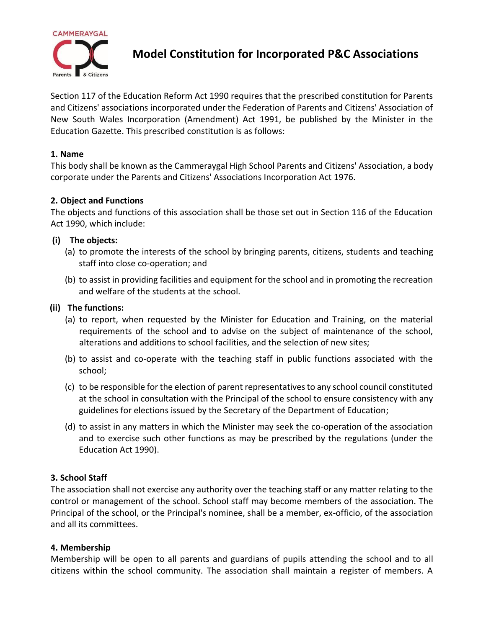

**Model Constitution for Incorporated P&C Associations**

Section 117 of the Education Reform Act 1990 requires that the prescribed constitution for Parents and Citizens' associations incorporated under the Federation of Parents and Citizens' Association of New South Wales Incorporation (Amendment) Act 1991, be published by the Minister in the Education Gazette. This prescribed constitution is as follows:

### **1. Name**

This body shall be known as the Cammeraygal High School Parents and Citizens' Association, a body corporate under the Parents and Citizens' Associations Incorporation Act 1976.

#### **2. Object and Functions**

The objects and functions of this association shall be those set out in Section 116 of the Education Act 1990, which include:

#### **(i) The objects:**

- (a) to promote the interests of the school by bringing parents, citizens, students and teaching staff into close co-operation; and
- (b) to assist in providing facilities and equipment for the school and in promoting the recreation and welfare of the students at the school.

#### **(ii) The functions:**

- (a) to report, when requested by the Minister for Education and Training, on the material requirements of the school and to advise on the subject of maintenance of the school, alterations and additions to school facilities, and the selection of new sites;
- (b) to assist and co-operate with the teaching staff in public functions associated with the school;
- (c) to be responsible for the election of parent representatives to any school council constituted at the school in consultation with the Principal of the school to ensure consistency with any guidelines for elections issued by the Secretary of the Department of Education;
- (d) to assist in any matters in which the Minister may seek the co-operation of the association and to exercise such other functions as may be prescribed by the regulations (under the Education Act 1990).

### **3. School Staff**

The association shall not exercise any authority over the teaching staff or any matter relating to the control or management of the school. School staff may become members of the association. The Principal of the school, or the Principal's nominee, shall be a member, ex-officio, of the association and all its committees.

### **4. Membership**

Membership will be open to all parents and guardians of pupils attending the school and to all citizens within the school community. The association shall maintain a register of members. A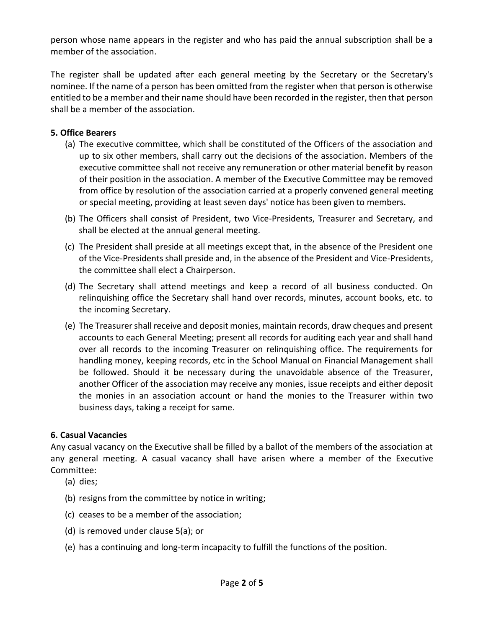person whose name appears in the register and who has paid the annual subscription shall be a member of the association.

The register shall be updated after each general meeting by the Secretary or the Secretary's nominee. If the name of a person has been omitted from the register when that person is otherwise entitled to be a member and their name should have been recorded in the register, then that person shall be a member of the association.

## **5. Office Bearers**

- (a) The executive committee, which shall be constituted of the Officers of the association and up to six other members, shall carry out the decisions of the association. Members of the executive committee shall not receive any remuneration or other material benefit by reason of their position in the association. A member of the Executive Committee may be removed from office by resolution of the association carried at a properly convened general meeting or special meeting, providing at least seven days' notice has been given to members.
- (b) The Officers shall consist of President, two Vice-Presidents, Treasurer and Secretary, and shall be elected at the annual general meeting.
- (c) The President shall preside at all meetings except that, in the absence of the President one of the Vice-Presidents shall preside and, in the absence of the President and Vice-Presidents, the committee shall elect a Chairperson.
- (d) The Secretary shall attend meetings and keep a record of all business conducted. On relinquishing office the Secretary shall hand over records, minutes, account books, etc. to the incoming Secretary.
- (e) The Treasurer shall receive and deposit monies, maintain records, draw cheques and present accounts to each General Meeting; present all records for auditing each year and shall hand over all records to the incoming Treasurer on relinquishing office. The requirements for handling money, keeping records, etc in the School Manual on Financial Management shall be followed. Should it be necessary during the unavoidable absence of the Treasurer, another Officer of the association may receive any monies, issue receipts and either deposit the monies in an association account or hand the monies to the Treasurer within two business days, taking a receipt for same.

### **6. Casual Vacancies**

Any casual vacancy on the Executive shall be filled by a ballot of the members of the association at any general meeting. A casual vacancy shall have arisen where a member of the Executive Committee:

- (a) dies;
- (b) resigns from the committee by notice in writing;
- (c) ceases to be a member of the association;
- (d) is removed under clause 5(a); or
- (e) has a continuing and long-term incapacity to fulfill the functions of the position.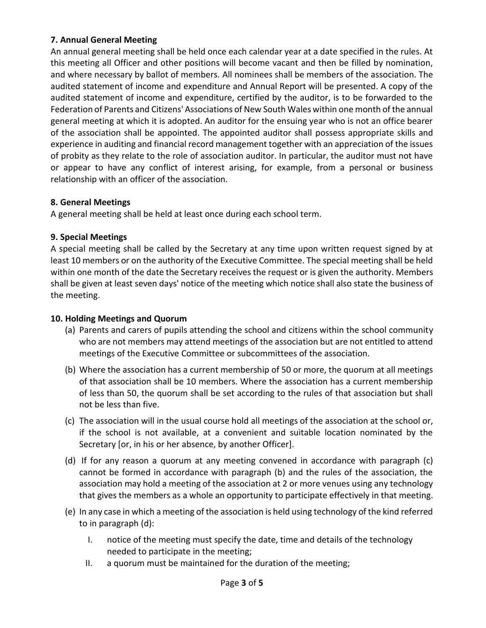# **7. Annual General Meeting**

An annual general meeting shall be held once each calendar year at a date specified in the rules. At this meeting all Officer and other positions will become vacant and then be filled by nomination, and where necessary by ballot of members. All nominees shall be members of the association. The audited statement of income and expenditure and Annual Report will be presented. A copy of the audited statement of income and expenditure, certified by the auditor, is to be forwarded to the Federation of Parents and Citizens' Associations of New South Wales within one month of the annual general meeting at which it is adopted. An auditor for the ensuing year who is not an office bearer of the association shall be appointed. The appointed auditor shall possess appropriate skills and experience in auditing and financial record management together with an appreciation of the issues of probity as they relate to the role of association auditor. In particular, the auditor must not have or appear to have any conflict of interest arising, for example, from a personal or business relationship with an officer of the association.

## **8. General Meetings**

A general meeting shall be held at least once during each school term.

## **9. Special Meetings**

A special meeting shall be called by the Secretary at any time upon written request signed by at least 10 members or on the authority of the Executive Committee. The special meeting shall be held within one month of the date the Secretary receives the request or is given the authority. Members shall be given at least seven days' notice of the meeting which notice shall also state the business of the meeting.

### **10. Holding Meetings and Quorum**

- (a) Parents and carers of pupils attending the school and citizens within the school community who are not members may attend meetings of the association but are not entitled to attend meetings of the Executive Committee or subcommittees of the association.
- (b) Where the association has a current membership of 50 or more, the quorum at all meetings of that association shall be 10 members. Where the association has a current membership of less than 50, the quorum shall be set according to the rules of that association but shall not be less than five.
- (c) The association will in the usual course hold all meetings of the association at the school or, if the school is not available, at a convenient and suitable location nominated by the Secretary [or, in his or her absence, by another Officer].
- (d) If for any reason a quorum at any meeting convened in accordance with paragraph (c) cannot be formed in accordance with paragraph (b) and the rules of the association, the association may hold a meeting of the association at 2 or more venues using any technology that gives the members as a whole an opportunity to participate effectively in that meeting.
- (e) In any case in which a meeting of the association is held using technology of the kind referred to in paragraph (d):
	- I. notice of the meeting must specify the date, time and details of the technology needed to participate in the meeting;
	- II. a quorum must be maintained for the duration of the meeting;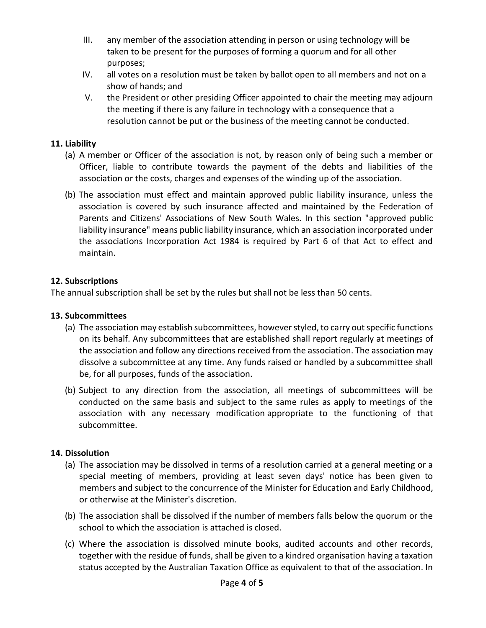- III. any member of the association attending in person or using technology will be taken to be present for the purposes of forming a quorum and for all other purposes;
- IV. all votes on a resolution must be taken by ballot open to all members and not on a show of hands; and
- V. the President or other presiding Officer appointed to chair the meeting may adjourn the meeting if there is any failure in technology with a consequence that a resolution cannot be put or the business of the meeting cannot be conducted.

## **11. Liability**

- (a) A member or Officer of the association is not, by reason only of being such a member or Officer, liable to contribute towards the payment of the debts and liabilities of the association or the costs, charges and expenses of the winding up of the association.
- (b) The association must effect and maintain approved public liability insurance, unless the association is covered by such insurance affected and maintained by the Federation of Parents and Citizens' Associations of New South Wales. In this section "approved public liability insurance" means public liability insurance, which an association incorporated under the associations Incorporation Act 1984 is required by Part 6 of that Act to effect and maintain.

## **12. Subscriptions**

The annual subscription shall be set by the rules but shall not be less than 50 cents.

### **13. Subcommittees**

- (a) The association may establish subcommittees, however styled, to carry out specific functions on its behalf. Any subcommittees that are established shall report regularly at meetings of the association and follow any directions received from the association. The association may dissolve a subcommittee at any time. Any funds raised or handled by a subcommittee shall be, for all purposes, funds of the association.
- (b) Subject to any direction from the association, all meetings of subcommittees will be conducted on the same basis and subject to the same rules as apply to meetings of the association with any necessary modification appropriate to the functioning of that subcommittee.

### **14. Dissolution**

- (a) The association may be dissolved in terms of a resolution carried at a general meeting or a special meeting of members, providing at least seven days' notice has been given to members and subject to the concurrence of the Minister for Education and Early Childhood, or otherwise at the Minister's discretion.
- (b) The association shall be dissolved if the number of members falls below the quorum or the school to which the association is attached is closed.
- (c) Where the association is dissolved minute books, audited accounts and other records, together with the residue of funds, shall be given to a kindred organisation having a taxation status accepted by the Australian Taxation Office as equivalent to that of the association. In